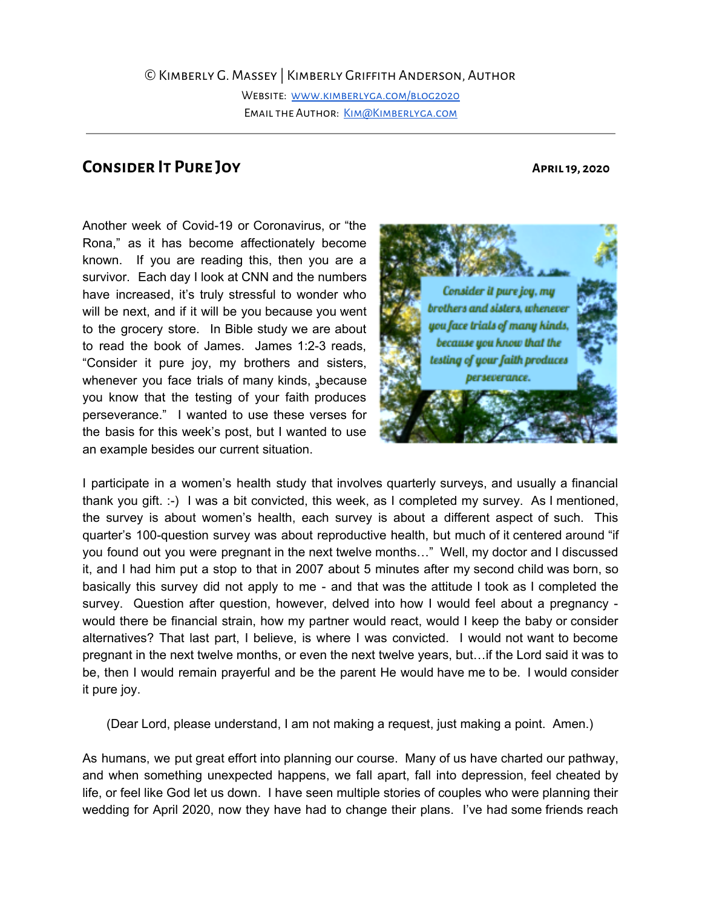Website: [www.kimberlyga.com/blog2020](http://www.kimberlyga.com/blog2020) EMAIL THE AUTHOR: KIM@KIMBERLYGA.COM

## **Consider It Pure Joy April19, 2020**

Another week of Covid-19 or Coronavirus, or "the Rona," as it has become affectionately become known. If you are reading this, then you are a survivor. Each day I look at CNN and the numbers have increased, it's truly stressful to wonder who will be next, and if it will be you because you went to the grocery store. In Bible study we are about to read the book of James. James 1:2-3 reads, "Consider it pure joy, my brothers and sisters, whenever you face trials of many kinds, because you know that the testing of your faith produces perseverance." I wanted to use these verses for the basis for this week's post, but I wanted to use an example besides our current situation.



I participate in a women's health study that involves quarterly surveys, and usually a financial thank you gift. :-) I was a bit convicted, this week, as I completed my survey. As I mentioned, the survey is about women's health, each survey is about a different aspect of such. This quarter's 100-question survey was about reproductive health, but much of it centered around "if you found out you were pregnant in the next twelve months…" Well, my doctor and I discussed it, and I had him put a stop to that in 2007 about 5 minutes after my second child was born, so basically this survey did not apply to me - and that was the attitude I took as I completed the survey. Question after question, however, delved into how I would feel about a pregnancy would there be financial strain, how my partner would react, would I keep the baby or consider alternatives? That last part, I believe, is where I was convicted. I would not want to become pregnant in the next twelve months, or even the next twelve years, but…if the Lord said it was to be, then I would remain prayerful and be the parent He would have me to be. I would consider it pure joy.

(Dear Lord, please understand, I am not making a request, just making a point. Amen.)

As humans, we put great effort into planning our course. Many of us have charted our pathway, and when something unexpected happens, we fall apart, fall into depression, feel cheated by life, or feel like God let us down. I have seen multiple stories of couples who were planning their wedding for April 2020, now they have had to change their plans. I've had some friends reach